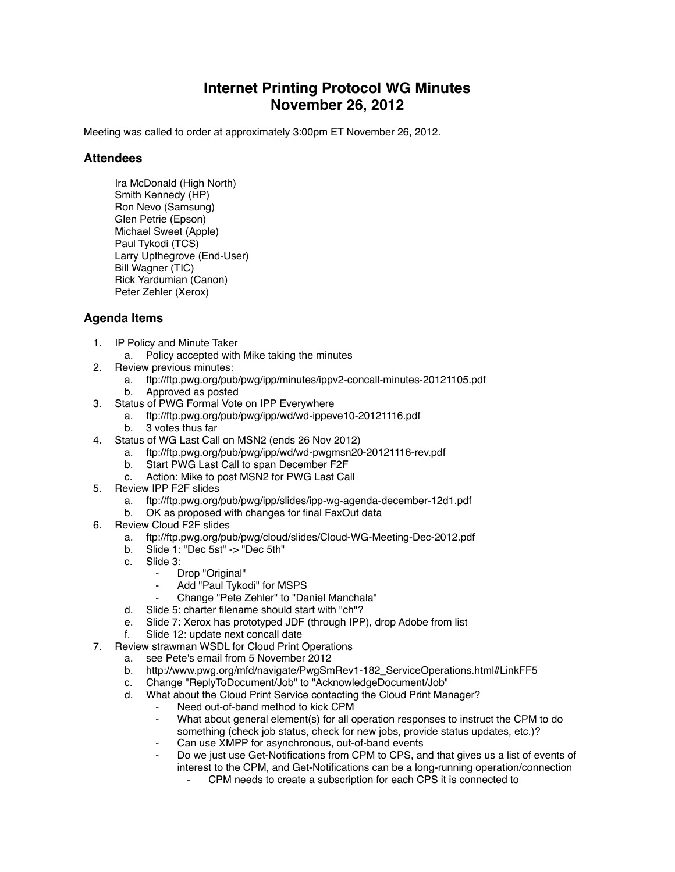## **Internet Printing Protocol WG Minutes November 26, 2012**

Meeting was called to order at approximately 3:00pm ET November 26, 2012.

## **Attendees**

Ira McDonald (High North) Smith Kennedy (HP) Ron Nevo (Samsung) Glen Petrie (Epson) Michael Sweet (Apple) Paul Tykodi (TCS) Larry Upthegrove (End-User) Bill Wagner (TIC) Rick Yardumian (Canon) Peter Zehler (Xerox)

## **Agenda Items**

- 1. IP Policy and Minute Taker
	- a. Policy accepted with Mike taking the minutes
- 2. Review previous minutes:
	- a. ftp://ftp.pwg.org/pub/pwg/ipp/minutes/ippv2-concall-minutes-20121105.pdf
	- b. Approved as posted
- 3. Status of PWG Formal Vote on IPP Everywhere
	- a. ftp://ftp.pwg.org/pub/pwg/ipp/wd/wd-ippeve10-20121116.pdf
	- b. 3 votes thus far
- 4. Status of WG Last Call on MSN2 (ends 26 Nov 2012)
	- a. ftp://ftp.pwg.org/pub/pwg/ipp/wd/wd-pwgmsn20-20121116-rev.pdf
	- b. Start PWG Last Call to span December F2F
	- c. Action: Mike to post MSN2 for PWG Last Call
- 5. Review IPP F2F slides
	- a. ftp://ftp.pwg.org/pub/pwg/ipp/slides/ipp-wg-agenda-december-12d1.pdf
	- b. OK as proposed with changes for final FaxOut data
- 6. Review Cloud F2F slides
	- a. ftp://ftp.pwg.org/pub/pwg/cloud/slides/Cloud-WG-Meeting-Dec-2012.pdf
	- b. Slide 1: "Dec 5st" -> "Dec 5th"
	- c. Slide 3:
		- ⁃ Drop "Original"
			- Add "Paul Tykodi" for MSPS
		- ⁃ Change "Pete Zehler" to "Daniel Manchala"
	- d. Slide 5: charter filename should start with "ch"?
	- e. Slide 7: Xerox has prototyped JDF (through IPP), drop Adobe from list
	- f. Slide 12: update next concall date
- 7. Review strawman WSDL for Cloud Print Operations
	- a. see Pete's email from 5 November 2012
	- b. http://www.pwg.org/mfd/navigate/PwgSmRev1-182\_ServiceOperations.html#LinkFF5
	- c. Change "ReplyToDocument/Job" to "AcknowledgeDocument/Job"
	- d. What about the Cloud Print Service contacting the Cloud Print Manager?
		- Need out-of-band method to kick CPM
		- What about general element(s) for all operation responses to instruct the CPM to do something (check job status, check for new jobs, provide status updates, etc.)?
		- Can use XMPP for asynchronous, out-of-band events
		- Do we just use Get-Notifications from CPM to CPS, and that gives us a list of events of interest to the CPM, and Get-Notifications can be a long-running operation/connection
			- CPM needs to create a subscription for each CPS it is connected to